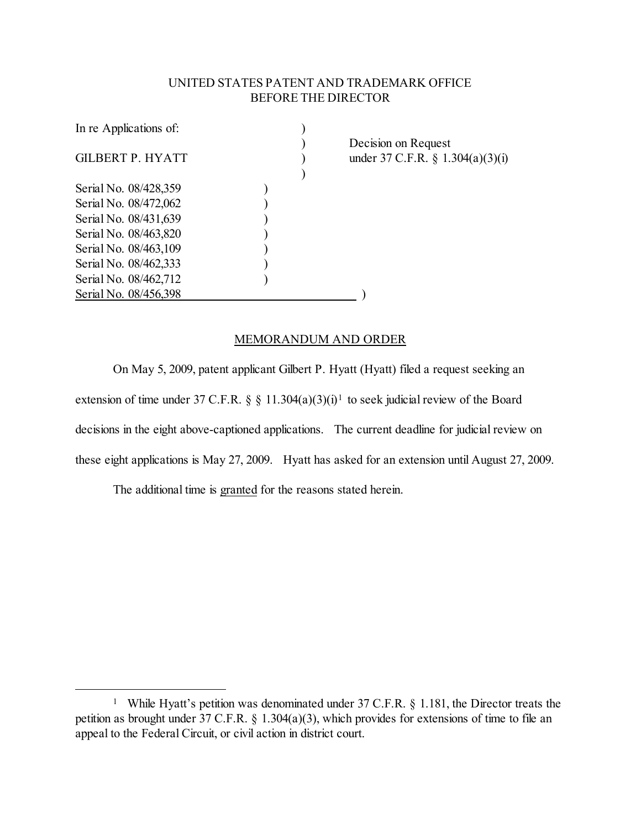## UNITED STATES PATENT AND TRADEMARK OFFICE BEFORE THE DIRECTOR

| In re Applications of: |      |
|------------------------|------|
|                        | Deci |
| GILBERT P. HYATT       | unde |
|                        |      |
| Serial No. 08/428,359  |      |
| Serial No. 08/472,062  |      |
| Serial No. 08/431,639  |      |
| Serial No. 08/463,820  |      |
| Serial No. 08/463,109  |      |
| Serial No. 08/462,333  |      |
| Serial No. 08/462,712  |      |
| Serial No. 08/456,398  |      |

ision on Request er 37 C.F.R.  $\S$  1.304(a)(3)(i)

## MEMORANDUM AND ORDER

On May 5, 2009, patent applicant Gilbert P. Hyatt (Hyatt) filed a request seeking an extension of time under 37 C.F.R. § § [1](#page-0-0)1.304(a)(3)(i)<sup>1</sup> to seek judicial review of the Board decisions in the eight above-captioned applications. The current deadline for judicial review on these eight applications is May 27, 2009. Hyatt has asked for an extension until August 27, 2009.

The additional time is granted for the reasons stated herein.

<span id="page-0-0"></span><sup>&</sup>lt;sup>1</sup> While Hyatt's petition was denominated under 37 C.F.R. § 1.181, the Director treats the petition as brought under 37 C.F.R. § 1.304(a)(3), which provides for extensions of time to file an appeal to the Federal Circuit, or civil action in district court.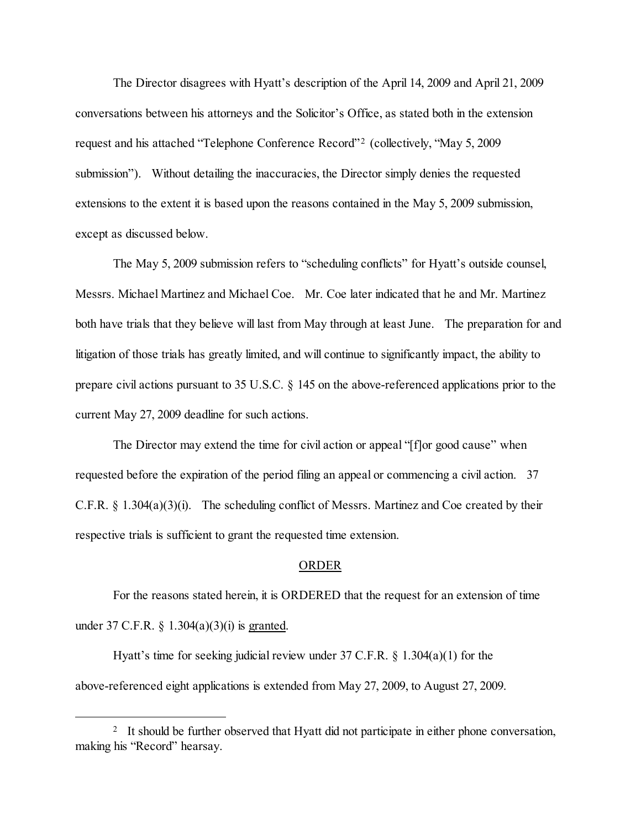The Director disagrees with Hyatt's description of the April 14, 2009 and April 21, 2009 conversations between his attorneys and the Solicitor's Office, as stated both in the extension request and his attached "Telephone Conference Record"[2](#page-1-0) (collectively, "May 5, 2009 submission"). Without detailing the inaccuracies, the Director simply denies the requested extensions to the extent it is based upon the reasons contained in the May 5, 2009 submission, except as discussed below.

The May 5, 2009 submission refers to "scheduling conflicts" for Hyatt's outside counsel, Messrs. Michael Martinez and Michael Coe. Mr. Coe later indicated that he and Mr. Martinez both have trials that they believe will last from May through at least June. The preparation for and litigation of those trials has greatly limited, and will continue to significantly impact, the ability to prepare civil actions pursuant to 35 U.S.C. § 145 on the above-referenced applications prior to the current May 27, 2009 deadline for such actions.

The Director may extend the time for civil action or appeal "[f]or good cause" when requested before the expiration of the period filing an appeal or commencing a civil action. 37 C.F.R. § 1.304(a)(3)(i). The scheduling conflict of Messrs. Martinez and Coe created by their respective trials is sufficient to grant the requested time extension.

## ORDER

For the reasons stated herein, it is ORDERED that the request for an extension of time under 37 C.F.R. § 1.304(a)(3)(i) is granted.

Hyatt's time for seeking judicial review under 37 C.F.R. § 1.304(a)(1) for the above-referenced eight applications is extended from May 27, 2009, to August 27, 2009.

<span id="page-1-0"></span><sup>&</sup>lt;sup>2</sup> It should be further observed that Hyatt did not participate in either phone conversation, making his "Record" hearsay.